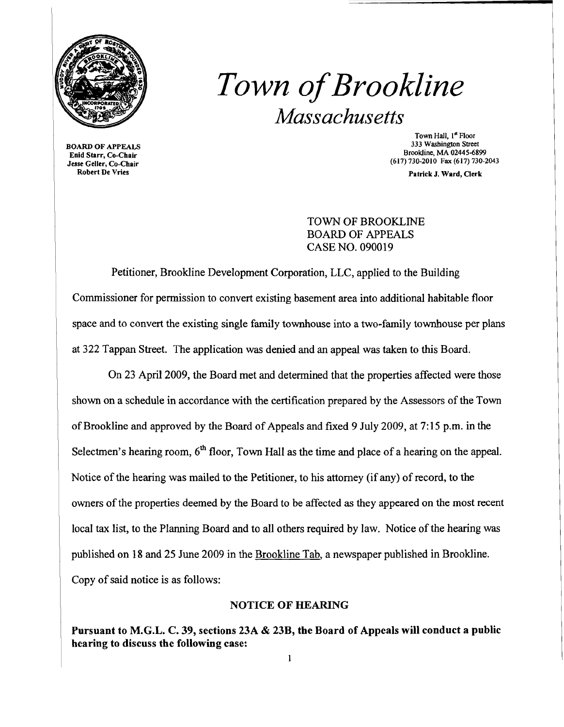

## *Town ofBrookline Massachusetts*

BOARD OF APPEALS Enid Starr, Co-Chair Jesse Geller, Co-Chair Robert De Vries

Town Hall, 1<sup>st</sup> Floor 333 Washington Street Brookline, MA 02445-6899 (617) 730-2010 Fax (617) 730-2043

Patrick J. Ward, Clerk

TOWN OF BROOKLINE BOARD OF APPEALS CASE NO. 090019

Petitioner, Brookline Development Corporation, LLC, applied to the Building Commissioner for permission to convert existing basement area into additional habitable floor space and to convert the existing single family townhouse into a two-family townhouse per plans at 322 Tappan Street. The application was denied and an appeal was taken to this Board.

On 23 April 2009, the Board met and determined that the properties affected were those shown on a schedule in accordance with the certification prepared by the Assessors of the Town of Brookline and approved by the Board of Appeals and fixed 9 July 2009, at 7:15 p.m. in the Selectmen's hearing room,  $6<sup>th</sup>$  floor, Town Hall as the time and place of a hearing on the appeal. Notice of the hearing was mailed to the Petitioner, to his attorney (if any) of record, to the owners of the properties deemed by the Board to be affected as they appeared on the most recent local tax list, to the Planning Board and to all others required by law. Notice of the hearing was published on 18 and 25 June 2009 in the Brookline Tab, a newspaper published in Brookline. Copy of said notice is as follows:

## NOTICE OF HEARING

Pursuant to M.G.L. C. 39, sections 23A & 23B, the Board of Appeals will conduct a public hearing to discuss the following case: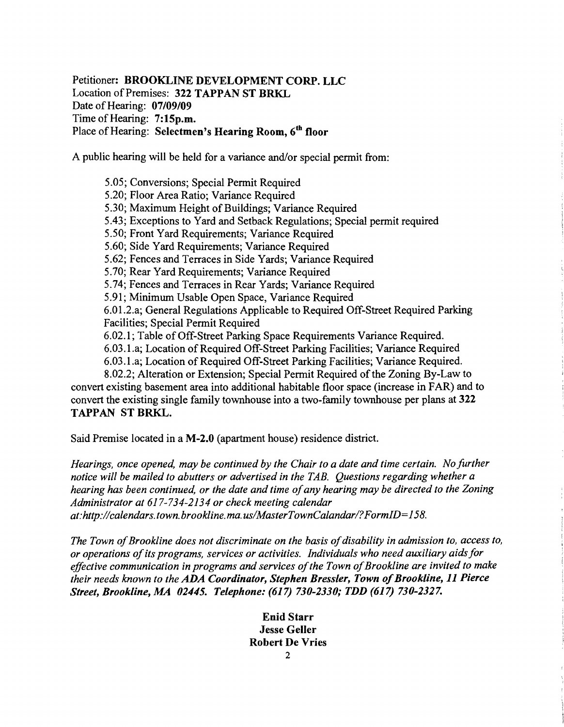Petitioner: BROOKLINE DEVELOPMENT CORP. LLC Location of Premises: 322 TAPPAN ST BRKL Date of Hearing: 07/09/09 Time of Hearing: 7:15p.m. Place of Hearing: Selectmen's Hearing Room, 6<sup>th</sup> floor

A public hearing will be held for a variance and/or special permit from:

5.05; Conversions; Special Permit Required 5.20; Floor Area Ratio; Variance Required 5.30; Maximum Height of Buildings; Variance Required 5.43; Exceptions to Yard and Setback Regulations; Special permit required 5.50; Front Yard Requirements; Variance Required 5.60; Side Yard Requirements; Variance Required 5.62; Fences and Terraces in Side Yards; Variance Required 5.70; Rear Yard Requirements; Variance Required 5.74; Fences and Terraces in Rear Yards; Variance Required 5.91; Minimum Usable Open Space, Variance Required 6.01.2.a; General Regulations Applicable to Required Off-Street Required Parking Facilities; Special Permit Required 6.02.1; Table of Off-Street Parking Space Requirements Variance Required. 6.03.1.a; Location of Required Off-Street Parking Facilities; Variance Required 6.03.1.a; Location of Required Off-Street Parking Facilities; Variance Required. 8.02.2; Alteration or Extension; Special Permit Required of the Zoning By-Law to convert existing basement area into additional habitable floor space (increase in FAR) and to

convert the existing single family townhouse into a two-family townhouse per plans at 322 TAPPAN ST BRKL.

Said Premise located in a M-2.0 (apartment house) residence district.

*Hearings, once opened, may be continued by the Chair to a date and time certain. No further notice will be mailed to abutters or advertised in the TAB. Questions regarding whether a hearing has been continued, or the date and time ofany hearing may be directed to the Zoning Administrator at* 617-734-2134 *or check meeting calendar at:http://calendars. town. brookline. ma. uslMasterTownCalandarl?FormID=158.* 

The Town of Brookline does not discriminate on the basis of disability in admission to, access to, *or operations ofits programs, services or activities. Individuals who need auxiliary aidsfor effective communication in programs and services ofthe Town ofBrookline are invited to make their needs known to the ADA Coordinator, Stephen Bressler, Town of Brookline, 11 Pierce Street, Brookline, MA 02445. Telephone:* (617) *730-2330; TDD* (617) *730-2327.* 

> Enid Starr Jesse Geller Robert De Vries 2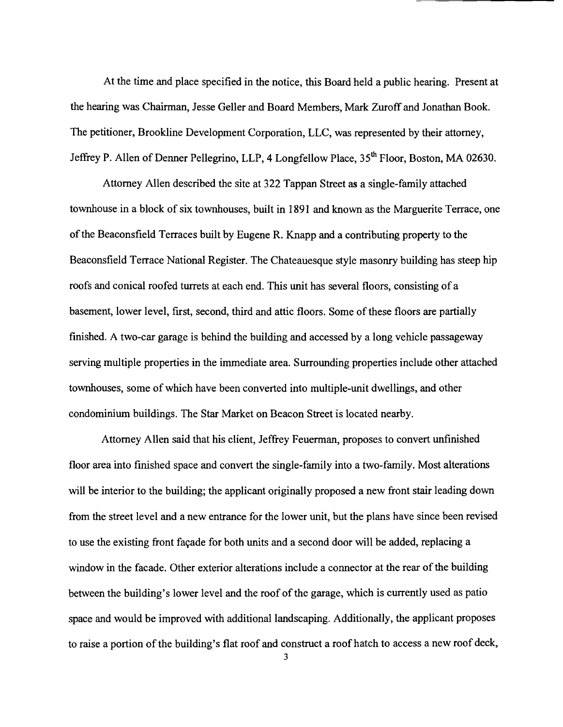At the time and place specified in the notice, this Board held a public hearing. Present at the hearing was Chairman, Jesse Geller and Board Members, Mark Zuroff and Jonathan Book. The petitioner, Brookline Development Corporation, LLC, was represented by their attorney, Jeffrey P. Allen of Denner Pellegrino, LLP, 4 Longfellow Place, 35<sup>th</sup> Floor, Boston, MA 02630.

Attorney Allen described the site at 322 Tappan Street as a single-family attached townhouse in a block of six townhouses, built in 1891 and known as the Marguerite Terrace, one ofthe Beaconsfield Terraces built by Eugene R. Knapp and a contributing property to the Beaconsfield Terrace National Register. The Chateauesque style masonry building has steep hip roofs and conical roofed turrets at each end. This unit has several floors, consisting of a basement, lower level, first, second, third and attic floors. Some of these floors are partially finished. A two-car garage is behind the building and accessed by a long vehicle passageway serving multiple properties in the immediate area. Surrounding properties include other attached townhouses, some of which have been converted into multiple-unit dwellings, and other condominium buildings. The Star Market on Beacon Street is located nearby.

Attorney Allen said that his client, Jeffrey Feuerman, proposes to convert unfinished floor area into finished space and convert the single-family into a two-family. Most alterations will be interior to the building; the applicant originally proposed a new front stair leading down from the street level and a new entrance for the lower unit, but the plans have since been revised to use the existing front façade for both units and a second door will be added, replacing a window in the facade. Other exterior alterations include a connector at the rear of the building between the building's lower level and the roof of the garage, which is currently used as patio space and would be improved with additional landscaping. Additionally, the applicant proposes to raise a portion of the building's flat roof and construct a roof hatch to access a new roof deck,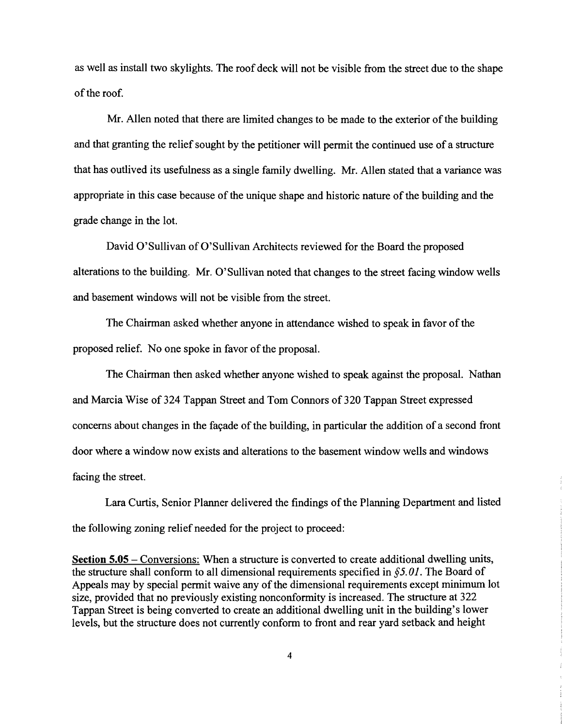as well as install two skylights. The roof deck will not be visible from the street due to the shape ofthe roof.

Mr. Allen noted that there are limited changes to be made to the exterior of the building and that granting the relief sought by the petitioner will permit the continued use of a structure that has outlived its usefulness as a single family dwelling. Mr. Allen stated that a variance was appropriate in this case because of the unique shape and historic nature of the building and the grade change in the lot.

David O'Sullivan of O'Sullivan Architects reviewed for the Board the proposed alterations to the building. Mr. O'Sullivan noted that changes to the street facing window wells and basement windows will not be visible from the street.

The Chairman asked whether anyone in attendance wished to speak in favor of the proposed relief. No one spoke in favor of the proposal.

The Chairman then asked whether anyone wished to speak against the proposal. Nathan and Marcia Wise of 324 Tappan Street and Tom Connors of 320 Tappan Street expressed concerns about changes in the façade of the building, in particular the addition of a second front door where a window now exists and alterations to the basement window wells and windows facing the street.

Lara Curtis, Senior Planner delivered the findings of the Planning Department and listed the following zoning relief needed for the project to proceed:

**Section 5.05** - Conversions: When a structure is converted to create additional dwelling units, the structure shall conform to all dimensional requirements specified in §5. *01.* The Board of Appeals may by special permit waive any of the dimensional requirements except minimum lot size, provided that no previously existing nonconformity is increased. The structure at 322 Tappan Street is being converted to create an additional dwelling unit in the building's lower levels, but the structure does not currently conform to front and rear yard setback and height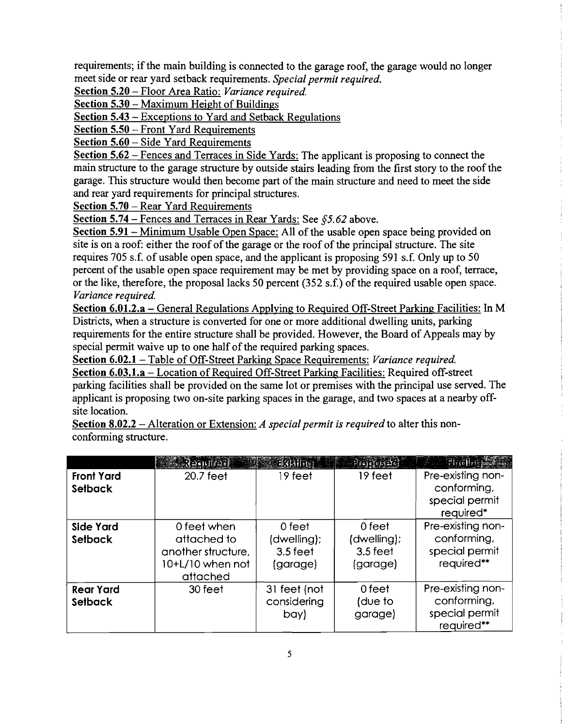requirements; if the main building is connected to the garage roof, the garage would no longer meet side or rear yard setback requirements. *Special permit required.* 

Section 5.20 - Floor Area Ratio: *Variance required.* 

Section 5.30 – Maximum Height of Buildings

Section 5.43 - Exceptions to Yard and Setback Regulations

Section 5.50 – Front Yard Requirements

Section 5.60 – Side Yard Requirements

Section 5.62 - Fences and Terraces in Side Yards: The applicant is proposing to connect the main structure to the garage structure by outside stairs leading from the first story to the roof the garage. This structure would then become part of the main structure and need to meet the side and rear yard requirements for principal structures.

Section 5.70 – Rear Yard Requirements

Section 5.74 – Fences and Terraces in Rear Yards: See  $65.62$  above.

Section 5.91 - Minimum Usable Open Space: All of the usable open space being provided on site is on a roof: either the roof of the garage or the roof of the principal structure. The site requires 705 s.f. of usable open space, and the applicant is proposing 591 s.f. Only up to 50 percent of the usable open space requirement may be met by providing space on a roof, terrace, or the like, therefore, the proposal lacks 50 percent  $(352 s.f.)$  of the required usable open space. *Variance required.* 

Section 6.01.2.a - General Regulations Applying to Required Off-Street Parking Facilities: In M Districts, when a structure is converted for one or more additional dwelling units, parking requirements for the entire structure shall be provided. However, the Board of Appeals may by special permit waive up to one half of the required parking spaces.

Section 6.02.1 – Table of Off-Street Parking Space Requirements: *Variance required.* Section 6.03.l.a - Location of Required Off-Street Parking Facilities: Required off-street parking facilities shall be provided on the same lot or premises with the principal use served. The applicant is proposing two on-site parking spaces in the garage, and two spaces at a nearby off site location.

Section 8.02.2 - Alteration or Extension: *A special permit is required* to alter this non conforming structure.

|                                     | ેં.ે.રે∋ા∪જિલી                                                                   |                                                 | $\mathbb{E}$ $\mathbb{E}$ $\mathbb{E}$ $\mathbb{E}$ $\mathbb{E}$ $\mathbb{E}$ $\mathbb{E}$ $\mathbb{E}$ $\mathbb{E}$ $\mathbb{E}$ $\mathbb{E}$ $\mathbb{E}$ $\mathbb{E}$ $\mathbb{E}$ $\mathbb{E}$ $\mathbb{E}$ $\mathbb{E}$ $\mathbb{E}$ $\mathbb{E}$ $\mathbb{E}$ $\mathbb{E}$ $\mathbb{E}$ $\mathbb{E}$ $\mathbb{E}$ $\mathbb{$ | <b>Finding Life</b>                                              |
|-------------------------------------|----------------------------------------------------------------------------------|-------------------------------------------------|------------------------------------------------------------------------------------------------------------------------------------------------------------------------------------------------------------------------------------------------------------------------------------------------------------------------------------|------------------------------------------------------------------|
| <b>Front Yard</b><br><b>Setback</b> | 20.7 feet                                                                        | 19 feet                                         | 19 feet                                                                                                                                                                                                                                                                                                                            | Pre-existing non-<br>conforming,<br>special permit<br>required*  |
| <b>Side Yard</b><br>Setback         | 0 feet when<br>attached to<br>another structure,<br>10+L/10 when not<br>attached | 0 feet<br>(dwelling);<br>$3.5$ feet<br>(garage) | 0 feet<br>(dwelling);<br>$3.5$ feet<br>(garage)                                                                                                                                                                                                                                                                                    | Pre-existing non-<br>conforming,<br>special permit<br>required** |
| <b>Rear Yard</b><br>Setback         | 30 feet                                                                          | 31 feet (not<br>considering<br>bay)             | 0 feet<br>(due to<br>garage)                                                                                                                                                                                                                                                                                                       | Pre-existing non-<br>conforming,<br>special permit<br>required** |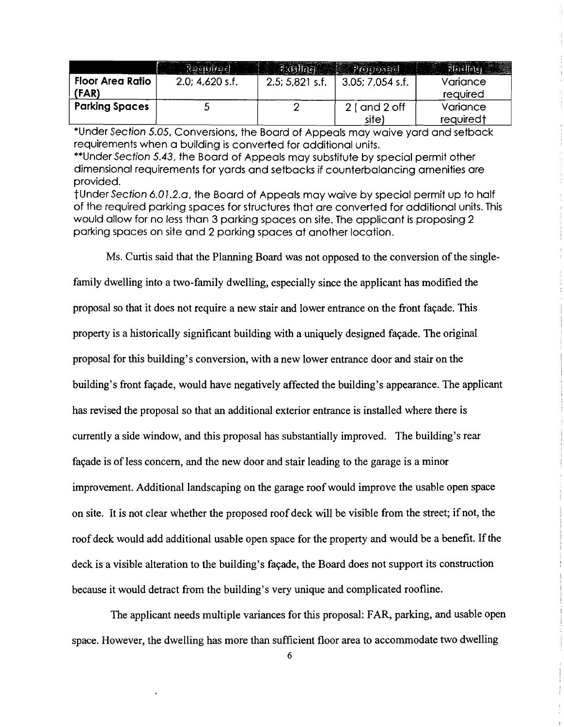|                                  | ं रिकामान्चत      |                    | 6600030                    |                                   |
|----------------------------------|-------------------|--------------------|----------------------------|-----------------------------------|
| <b>Floor Area Ratio</b><br>(FAR) | $2.0; 4.620$ s.f. | $2.5$ ; 5,821 s.f. | $3.05$ ; $7.054$ s.f.      | Variance<br>required              |
| <b>Parking Spaces</b>            |                   |                    | $2$ ( and $2$ off<br>site) | Variance<br>required <sup>†</sup> |

\*Under Section 5.05, Conversions, the Board of Appeals may waive yard and setback requirements when a building is converted for additional units.

\*\*Under Section 5.43, the Board of Appeals may substitute by special permit other dimensional requirements for yards and setbacks if counterbalancing amenities are provided.

tUnder Section 6.01.2.0, the Board of Appeals may waive by special permit up to half of the required parking spaces for structures that are converted for additional units. This would allow for no less than 3 parking spaces on site. The applicant is proposing 2 parking spaces on site and 2 parking spaces at another location.

Ms. Curtis said that the Planning Board was not opposed to the conversion of the singlefamily dwelling into a two-family dwelling, especially since the applicant has modified the proposal so that it does not require a new stair and lower entrance on the front fa9ade. This property is a historically significant building with a uniquely designed façade. The original proposal for this building's conversion, with a new lower entrance door and stair on the building's front fa9ade, would have negatively affected the building's appearance. The applicant has revised the proposal so that an additional exterior entrance is installed where there is currently a side window, and this proposal has substantially improved. The building's rear façade is of less concern, and the new door and stair leading to the garage is a minor improvement. Additional landscaping on the garage roof would improve the usable open space on site. It is not clear whether the proposed roof deck will be visible from the street; if not, the roof deck would add additional usable open space for the property and would be a benefit. If the deck is a visible alteration to the building's façade, the Board does not support its construction because it would detract from the building's very unique and complicated roofline.

The applicant needs multiple variances for this proposal: FAR, parking, and usable open space. However, the dwelling has more than sufficient floor area to accommodate two dwelling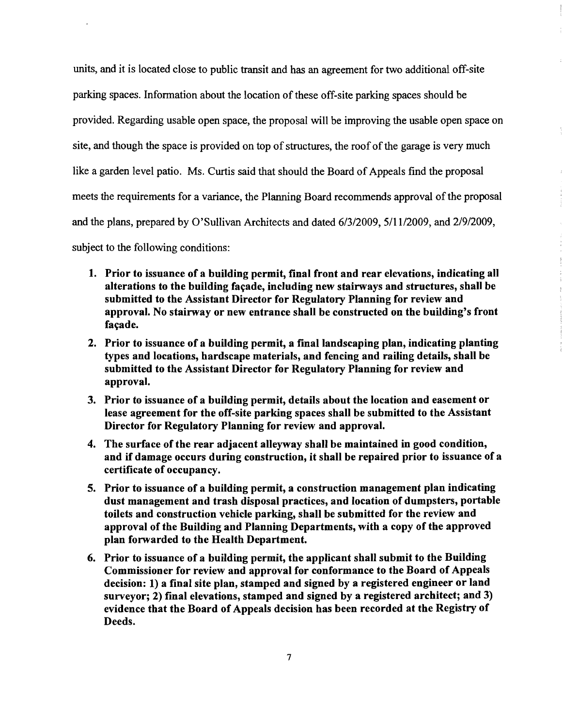units, and it is located close to public transit and has an agreement for two additional off-site parking spaces. Information about the location of these off-site parking spaces should be provided. Regarding usable open space, the proposal will be improving the usable open space on site, and though the space is provided on top of structures, the roof of the garage is very much like a garden level patio. Ms. Curtis said that should the Board of Appeals find the proposal meets the requirements for a variance, the Planning Board recommends approval of the proposal and the plans, prepared by O'Sullivan Architects and dated  $6/3/2009$ ,  $5/11/2009$ , and  $2/9/2009$ , subject to the following conditions:

- 1. Prior to issuance of a building permit, final front and rear elevations, indicating all alterations to the building façade, including new stairways and structures, shall be submitted to the Assistant Director for Regulatory Planning for review and approval. No stairway or new entrance shall be constructed on the building's front facade.
- 2. Prior to issuance of a building permit, a final landscaping plan, indicating planting types and locations, hardscape materials, and fencing and railing details, shall be submitted to the Assistant Director for Regulatory Planning for review and approval.
- 3. Prior to issuance of a building permit, details about the location and easement or lease agreement for the off-site parking spaces shall be submitted to the Assistant Director for Regulatory Planning for review and approval.
- 4. The surface of the rear adjacent alleyway shall be maintained in good condition, and if damage occurs during construction, it shall be repaired prior to issuance of a certificate of occupancy.
- 5. Prior to issuance of a building permit, a construction management plan indicating dust management and trash disposal practices, and location of dumpsters, portable toilets and construction vehicle parking, shall be submitted for the review and approval of the Building and Planning Departments, with a copy of the approved plan forwarded to the Health Department.
- 6. Prior to issuance of a building permit, the applicant shall submit to the Building Commissioner for review and approval for conformance to the Board of Appeals decision: 1) a final site plan, stamped and signed by a registered engineer or land surveyor; 2) final elevations, stamped and signed by a registered architect; and 3) evidence that the Board of Appeals decision has been recorded at the Registry of Deeds.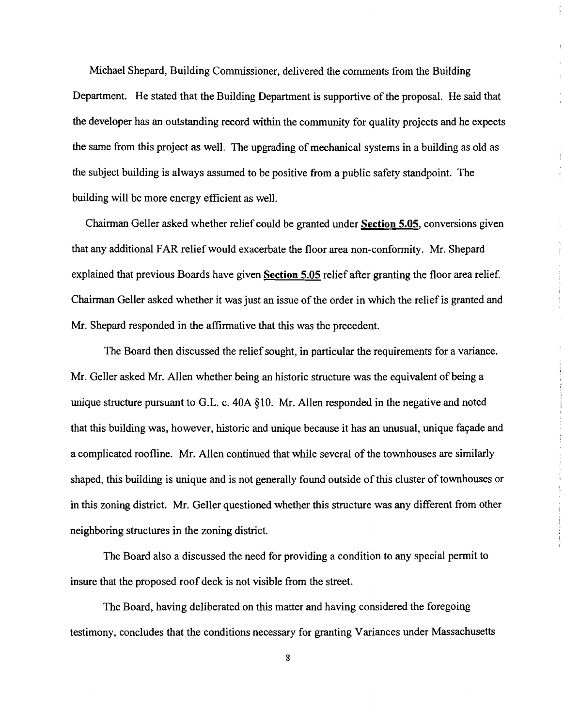Michael Shepard, Building Commissioner, delivered the comments from the Building Department. He stated that the Building Department is supportive of the proposal. He said that the developer has an outstanding record within the community for quality projects and he expects the same from this project as well. The upgrading of mechanical systems in a building as old as the subject building is always assumed to be positive from a public safety standpoint. The building will be more energy efficient as well.

 $\frac{1}{2}$ 

Ĵ. ÷.

Chairman Geller asked whether relief could be granted under **Section** 5.05, conversions given that any additional FAR relief would exacerbate the floor area non-conformity. Mr. Shepard explained that previous Boards have given **Section 5.05** relief after granting the floor area relief. Chairman Geller asked whether it was just an issue of the order in which the relief is granted and Mr. Shepard responded in the affirmative that this was the precedent.

The Board then discussed the relief sought, in particular the requirements for a variance. Mr. Geller asked Mr. Allen whether being an historic structure was the equivalent of being a unique structure pursuant to G.L. c. 40A §10. Mr. Allen responded in the negative and noted that this building was, however, historic and unique because it has an unusual, unique fayade and a complicated roofline. Mr. Allen continued that while several of the townhouses are similarly shaped, this building is unique and is not generally found outside of this cluster of townhouses or in this zoning district. Mr. Geller questioned whether this structure was any different from other neighboring structures in the zoning district.

The Board also a discussed the need for providing a condition to any special permit to insure that the proposed roof deck is not visible from the street.

The Board, having deliberated on this matter and having considered the foregoing testimony, concludes that the conditions necessary for granting Variances under Massachusetts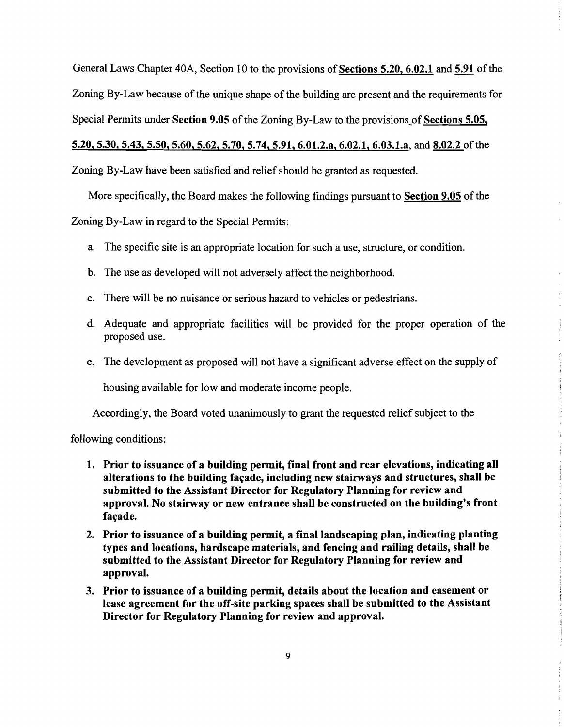General Laws Chapter 40A, Section 10 to the provisions of Sections 5.20, 6.02.1 and 5.91 of the Zoning By-Law because of the unique shape of the building are present and the requirements for Special Permits under Section 9.05 of the Zoning By-Law to the provisions of Sections 5.05, 5.20,5.30,5.43,5.50,5.60,5.62,5.70,5.74,5.91, 6.01.2.a, 6.02.1, 6.03.1.a, and 8.02.2 of the

Zoning By-Law have been satisfied and relief should be granted as requested.

More specifically, the Board makes the following findings pursuant to Section 9.05 of the

Zoning By-Law in regard to the Special Permits:

- a. The specific site is an appropriate location for such a use, structure, or condition.
- b. The use as developed will not adversely affect the neighborhood.
- c. There will be no nuisance or serious hazard to vehicles or pedestrians.
- d. Adequate and appropriate facilities will be provided for the proper operation of the proposed use.
- e. The development as proposed will not have a significant adverse effect on the supply of

housing available for low and moderate income people.

Accordingly, the Board voted unanimously to grant the requested relief subject to the

following conditions:

- 1. Prior to issuance of a building permit, final front and rear elevations, indicating all alterations to the building façade, including new stairways and structures, shall be submitted to the Assistant Director for Regulatory Planning for review and approval. No stairway or new entrance shall be constructed on the building's front facade.
- 2. Prior to issuance of a building permit, a final landscaping plan, indicating planting types and locations, hardscape materials, and fencing and railing details, shall be submitted to the Assistant Director for Regulatory Planning for review and approval.
- 3. Prior to issuance of a building permit, details about the location and easement or lease agreement for the off-site parking spaces shall be submitted to the Assistant Director for Regulatory Planning for review and approval.